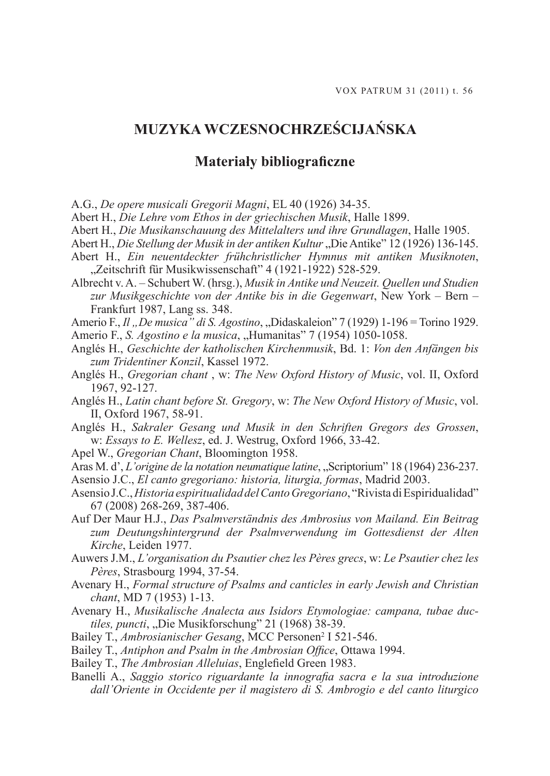## **MUZYKA WCZESNOCHRZEŚCIJAŃSKA**

## **Materiały bibliograficzne**

A.G., *De opere musicali Gregorii Magni*, EL 40 (1926) 34-35.

Abert H., *Die Lehre vom Ethos in der griechischen Musik*, Halle 1899.

Abert H., *Die Musikanschauung des Mittelalters und ihre Grundlagen*, Halle 1905.

Abert H., *Die Stellung der Musik in der antiken Kultur* "Die Antike" 12 (1926) 136-145.

Abert H., *Ein neuentdeckter frühchristlicher Hymnus mit antiken Musiknoten*, "Zeitschrift für Musikwissenschaft" 4 (1921-1922) 528-529.

Albrecht v. A. – Schubert W. (hrsg.), *Musik in Antike und Neuzeit. Quellen und Studien zur Musikgeschichte von der Antike bis in die Gegenwart*, New York – Bern – Frankfurt 1987, Lang ss. 348.

Amerio F., *Il* , *De musica" di S. Agostino*, "Didaskaleion" 7 (1929) 1-196 = Torino 1929.

Amerio F., *S. Agostino e la musica*, "Humanitas" 7 (1954) 1050-1058.

- Anglés H., *Geschichte der katholischen Kirchenmusik*, Bd. 1: *Von den Anfängen bis zum Tridentiner Konzil*, Kassel 1972.
- Anglés H., *Gregorian chant* , w: *The New Oxford History of Music*, vol. II, Oxford 1967, 92-127.
- Anglés H., *Latin chant before St. Gregory*, w: *The New Oxford History of Music*, vol. II, Oxford 1967, 58-91.
- Anglés H., *Sakraler Gesang und Musik in den Schriften Gregors des Grossen*, w: *Essays to E. Wellesz*, ed. J. Westrug, Oxford 1966, 33-42.
- Apel W., *Gregorian Chant*, Bloomington 1958.

Aras M. d', *L'origine de la notation neumatique latine*, "Scriptorium" 18 (1964) 236-237.

Asensio J.C., *El canto gregoriano: historia, liturgia, formas*, Madrid 2003.

- Asensio J.C., *Historia espiritualidad del Canto Gregoriano*, "Rivista di Espiridualidad" 67 (2008) 268-269, 387-406.
- Auf Der Maur H.J., *Das Psalmverständnis des Ambrosius von Mailand. Ein Beitrag zum Deutungshintergrund der Psalmverwendung im Gottesdienst der Alten Kirche*, Leiden 1977.
- Auwers J.M., *L'organisation du Psautier chez les Pères grecs*, w: *Le Psautier chez les Pères*, Strasbourg 1994, 37-54.
- Avenary H., *Formal structure of Psalms and canticles in early Jewish and Christian chant*, MD 7 (1953) 1-13.
- Avenary H., *Musikalische Analecta aus Isidors Etymologiae: campana, tubae ductiles, puncti, "Die Musikforschung" 21 (1968) 38-39.*

Bailey T., Ambrosianischer Gesang, MCC Personen<sup>2</sup> I 521-546.

Bailey T., *Antiphon and Psalm in the Ambrosian Office*, Ottawa 1994.

Bailey T., *The Ambrosian Alleluias*, Englefield Green 1983.

Banelli A., *Saggio storico riguardante la innografia sacra e la sua introduzione dall'Oriente in Occidente per il magistero di S. Ambrogio e del canto liturgico*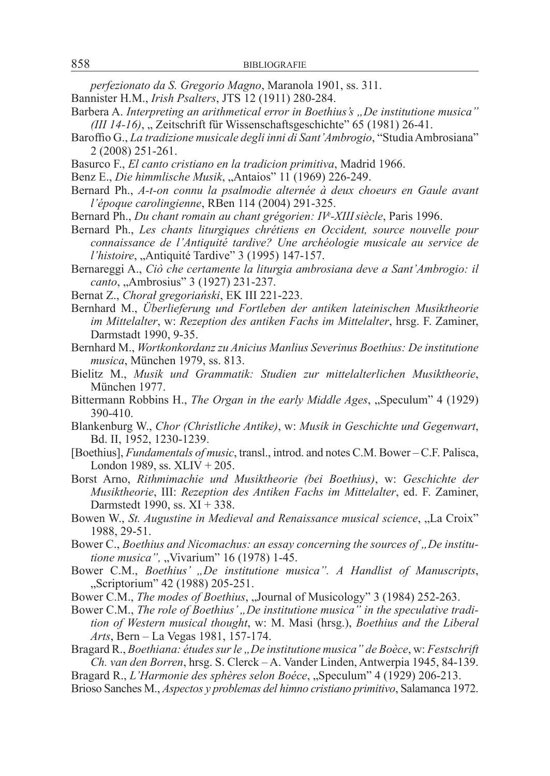*perfezionato da S. Gregorio Magno*, Maranola 1901, ss. 311.

- Bannister H.M., *Irish Psalters*, JTS 12 (1911) 280-284.
- Barbera A. *Interpreting an arithmetical error in Boethius's "De institutione musica" (III 14-16)*, "Zeitschrift für Wissenschaftsgeschichte" 65 (1981) 26-41.
- Baroffio G., *La tradizione musicale degli inni di Sant'Ambrogio*, "Studia Ambrosiana" 2 (2008) 251-261.
- Basurco F., *El canto cristiano en la tradicion primitiva*, Madrid 1966.
- Benz E., *Die himmlische Musik*, "Antaios" 11 (1969) 226-249.
- Bernard Ph., *A-t-on connu la psalmodie alternée à deux choeurs en Gaule avant l'époque carolingienne*, RBen 114 (2004) 291-325.
- Bernard Ph., *Du chant romain au chant grégorien: IVe -XIIIsiècle*, Paris 1996.
- Bernard Ph., *Les chants liturgiques chrétiens en Occident, source nouvelle pour connaissance de l'Antiquité tardive? Une archéologie musicale au service de l'histoire*, "Antiquité Tardive" 3 (1995) 147-157.
- Bernareggi A., *Ciò che certamente la liturgia ambrosiana deve a Sant'Ambrogio: il canto*, "Ambrosius" 3 (1927) 231-237.
- Bernat Z., *Chorał gregoriański*, EK III 221-223.
- Bernhard M., *Überlieferung und Fortleben der antiken lateinischen Musiktheorie im Mittelalter*, w: *Rezeption des antiken Fachs im Mittelalter*, hrsg. F. Zaminer, Darmstadt 1990, 9-35.
- Bernhard M., *Wortkonkordanz zu Anicius Manlius Severinus Boethius: De institutione musica*, München 1979, ss. 813.
- Bielitz M., *Musik und Grammatik: Studien zur mittelalterlichen Musiktheorie*, München 1977.
- Bittermann Robbins H., *The Organ in the early Middle Ages*, "Speculum" 4 (1929) 390-410.
- Blankenburg W., *Chor (Christliche Antike)*, w: *Musik in Geschichte und Gegenwart*, Bd. II, 1952, 1230-1239.
- [Boethius], *Fundamentals of music*, transl., introd. and notes C.M. Bower C.F. Palisca, London 1989, ss. XLIV + 205.
- Borst Arno, *Rithmimachie und Musiktheorie (bei Boethius)*, w: *Geschichte der Musiktheorie*, III: *Rezeption des Antiken Fachs im Mittelalter*, ed. F. Zaminer, Darmstedt 1990, ss. XI + 338.
- Bowen W., *St. Augustine in Medieval and Renaissance musical science*, "La Croix" 1988, 29-51.
- Bower C., *Boethius and Nicomachus: an essay concerning the sources of , De institutione musica", "Vivarium"* 16 (1978) 1-45.
- Bower C.M., *Boethius' "De institutione musica". A Handlist of Manuscripts*, "Scriptorium" 42 (1988) 205-251.
- Bower C.M., *The modes of Boethius*, "Journal of Musicology" 3 (1984) 252-263.
- Bower C.M., *The role of Boethius', De institutione musica*" in the speculative tradi*tion of Western musical thought*, w: M. Masi (hrsg.), *Boethius and the Liberal Arts*, Bern – La Vegas 1981, 157-174.
- Bragard R., *Boethiana: études sur le "De institutione musica" de Boèce*, w: *Festschrift Ch. van den Borren*, hrsg. S. Clerck – A. Vander Linden, Antwerpia 1945, 84-139.
- Bragard R., *L'Harmonie des sphères selon Boéce*, "Speculum" 4 (1929) 206-213.
- Brioso Sanches M., *Aspectos y problemas del himno cristiano primitivo*, Salamanca 1972.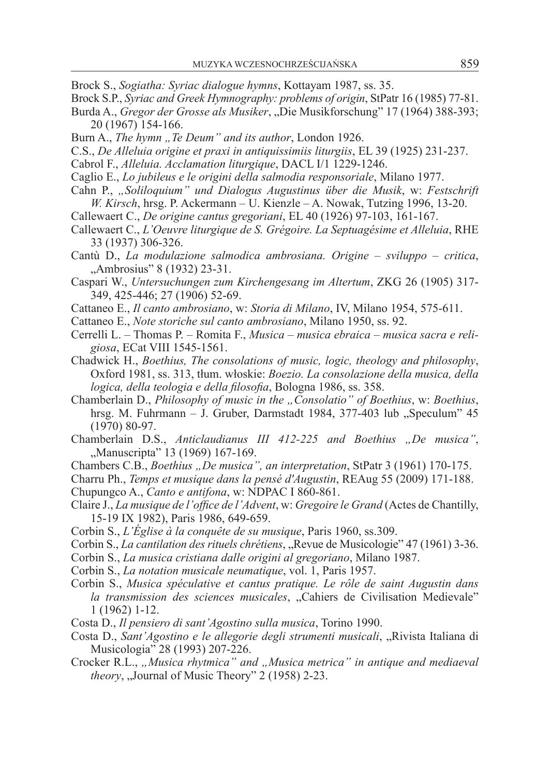- Brock S., *Sogiatha: Syriac dialogue hymns*, Kottayam 1987, ss. 35.
- Brock S.P., *Syriac and Greek Hymnography: problems of origin*, StPatr 16 (1985) 77-81.
- Burda A., *Gregor der Grosse als Musiker*, "Die Musikforschung" 17 (1964) 388-393; 20 (1967) 154-166.
- Burn A., *The hymn*, *Te Deum*" and its author, London 1926.
- C.S., *De Alleluia origine et praxi in antiquissimiis liturgiis*, EL 39 (1925) 231-237.
- Cabrol F., *Alleluia. Acclamation liturgique*, DACL I/1 1229-1246.
- Caglio E., *Lo jubileus e le origini della salmodia responsoriale*, Milano 1977.
- Cahn P., *"Soliloquium" und Dialogus Augustinus über die Musik*, w: *Festschrift W. Kirsch*, hrsg. P. Ackermann – U. Kienzle – A. Nowak, Tutzing 1996, 13-20.
- Callewaert C., *De origine cantus gregoriani*, EL 40 (1926) 97-103, 161-167.
- Callewaert C., *L'Oeuvre liturgique de S. Grégoire. La Septuagésime et Alleluia*, RHE 33 (1937) 306-326.
- Cantù D., *La modulazione salmodica ambrosiana. Origine sviluppo critica*, "Ambrosius" 8 (1932) 23-31.
- Caspari W., *Untersuchungen zum Kirchengesang im Altertum*, ZKG 26 (1905) 317- 349, 425-446; 27 (1906) 52-69.
- Cattaneo E., *Il canto ambrosiano*, w: *Storia di Milano*, IV, Milano 1954, 575-611.
- Cattaneo E., *Note storiche sul canto ambrosiano*, Milano 1950, ss. 92.
- Cerrelli L. Thomas P. Romita F., *Musica musica ebraica musica sacra e religiosa*, ECat VIII 1545-1561.
- Chadwick H., *Boethius, The consolations of music, logic, theology and philosophy*, Oxford 1981, ss. 313, tłum. włoskie: *Boezio. La consolazione della musica, della logica, della teologia e della filosofia*, Bologna 1986, ss. 358.
- Chamberlain D., *Philosophy of music in the "Consolatio" of Boethius*, w: *Boethius*, hrsg. M. Fuhrmann – J. Gruber, Darmstadt 1984, 377-403 lub "Speculum" 45 (1970) 80-97.
- Chamberlain D.S., *Anticlaudianus III 412-225 and Boethius "De musica"*, "Manuscripta" 13 (1969) 167-169.
- Chambers C.B., *Boethius "De musica", an interpretation*, StPatr 3 (1961) 170-175.
- Charru Ph., *Temps et musique dans la pensé d'Augustin*, REAug 55 (2009) 171-188. Chupungco A., *Canto e antifona*, w: NDPAC I 860-861.
- Claire J., *La musique de l'office de l'Advent*, w: *Gregoire le Grand* (Actes de Chantilly, 15-19 IX 1982), Paris 1986, 649-659.
- Corbin S., *L'Église à la conquête de su musique*, Paris 1960, ss.309.
- Corbin S., *La cantilation des rituels chrétiens*, "Revue de Musicologie" 47 (1961) 3-36.
- Corbin S., *La musica cristiana dalle origini al gregoriano*, Milano 1987.
- Corbin S., *La notation musicale neumatique*, vol. 1, Paris 1957.
- Corbin S., *Musica spéculative et cantus pratique. Le rôle de saint Augustin dans la transmission des sciences musicales*, "Cahiers de Civilisation Medievale" 1 (1962) 1-12.
- Costa D., *Il pensiero di sant'Agostino sulla musica*, Torino 1990.
- Costa D., *Sant'Agostino e le allegorie degli strumenti musicali*, "Rivista Italiana di Musicologia" 28 (1993) 207-226.
- Crocker R.L., "Musica rhytmica" and "Musica metrica" in antique and mediaeval *theory*, "Journal of Music Theory" 2 (1958) 2-23.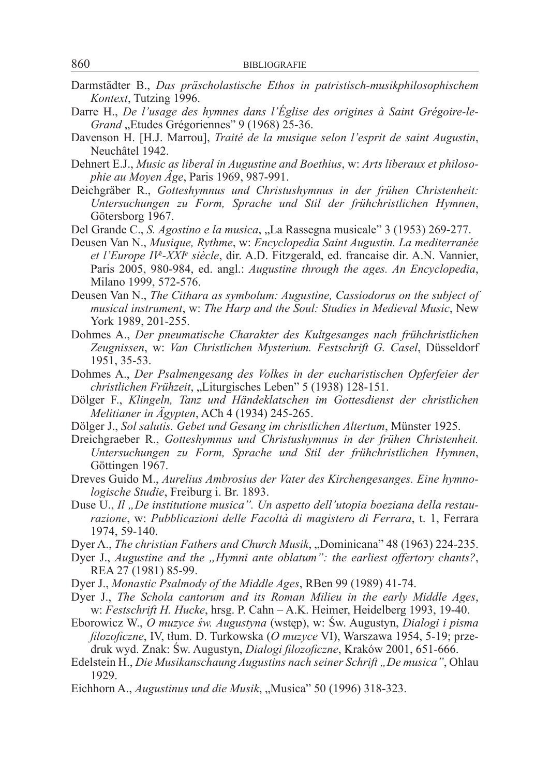- Darmstädter B., *Das präscholastische Ethos in patristisch-musikphilosophischem Kontext*, Tutzing 1996.
- Darre H., *De l'usage des hymnes dans l'Église des origines à Saint Grégoire-le-*Grand "Etudes Grégoriennes" 9 (1968) 25-36.
- Davenson H. [H.J. Marrou], *Traité de la musique selon l'esprit de saint Augustin*, Neuchâtel 1942.
- Dehnert E.J., *Music as liberal in Augustine and Boethius*, w: *Arts liberaux et philosophie au Moyen Âge*, Paris 1969, 987-991.
- Deichgräber R., *Gotteshymnus und Christushymnus in der frühen Christenheit: Untersuchungen zu Form, Sprache und Stil der frühchristlichen Hymnen*, Götersborg 1967.
- Del Grande C., *S. Agostino e la musica*, "La Rassegna musicale" 3 (1953) 269-277.
- Deusen Van N., *Musique, Rythme*, w: *Encyclopedia Saint Augustin. La mediterranée et l'Europe IVe -XXIe siècle*, dir. A.D. Fitzgerald, ed. francaise dir. A.N. Vannier, Paris 2005, 980-984, ed. angl.: *Augustine through the ages. An Encyclopedia*, Milano 1999, 572-576.
- Deusen Van N., *The Cithara as symbolum: Augustine, Cassiodorus on the subject of musical instrument*, w: *The Harp and the Soul: Studies in Medieval Music*, New York 1989, 201-255.
- Dohmes A., *Der pneumatische Charakter des Kultgesanges nach frühchristlichen Zeugnissen*, w: *Van Christlichen Mysterium. Festschrift G. Casel*, Düsseldorf 1951, 35-53.
- Dohmes A., *Der Psalmengesang des Volkes in der eucharistischen Opferfeier der christlichen Frühzeit*, "Liturgisches Leben" 5 (1938) 128-151.
- Dölger F., *Klingeln, Tanz und Händeklatschen im Gottesdienst der christlichen Melitianer in Ägypten*, ACh 4 (1934) 245-265.
- Dölger J., *Sol salutis. Gebet und Gesang im christlichen Altertum*, Münster 1925.
- Dreichgraeber R., *Gotteshymnus und Christushymnus in der frühen Christenheit. Untersuchungen zu Form, Sprache und Stil der frühchristlichen Hymnen*, Göttingen 1967.
- Dreves Guido M., *Aurelius Ambrosius der Vater des Kirchengesanges. Eine hymnologische Studie*, Freiburg i. Br. 1893.
- Duse U., *Il "De institutione musica". Un aspetto dell'utopia boeziana della restaurazione*, w: *Pubblicazioni delle Facoltà di magistero di Ferrara*, t. 1, Ferrara 1974, 59-140.
- Dyer A., *The christian Fathers and Church Musik*, "Dominicana" 48 (1963) 224-235.
- Dyer J., *Augustine and the "Hymni ante oblatum": the earliest offertory chants?*, REA 27 (1981) 85-99.
- Dyer J., *Monastic Psalmody of the Middle Ages*, RBen 99 (1989) 41-74.
- Dyer J., *The Schola cantorum and its Roman Milieu in the early Middle Ages*, w: *Festschrift H. Hucke*, hrsg. P. Cahn – A.K. Heimer, Heidelberg 1993, 19-40.
- Eborowicz W., *O muzyce św. Augustyna* (wstęp), w: Św. Augustyn, *Dialogi i pisma filozoficzne*, IV, tłum. D. Turkowska (*O muzyce* VI), Warszawa 1954, 5-19; przedruk wyd. Znak: Św. Augustyn, *Dialogi filozoficzne*, Kraków 2001, 651-666.
- Edelstein H., *Die Musikanschaung Augustins nach seiner Schrift "De musica"*, Ohlau 1929.
- Eichhorn A., *Augustinus und die Musik*, "Musica" 50 (1996) 318-323.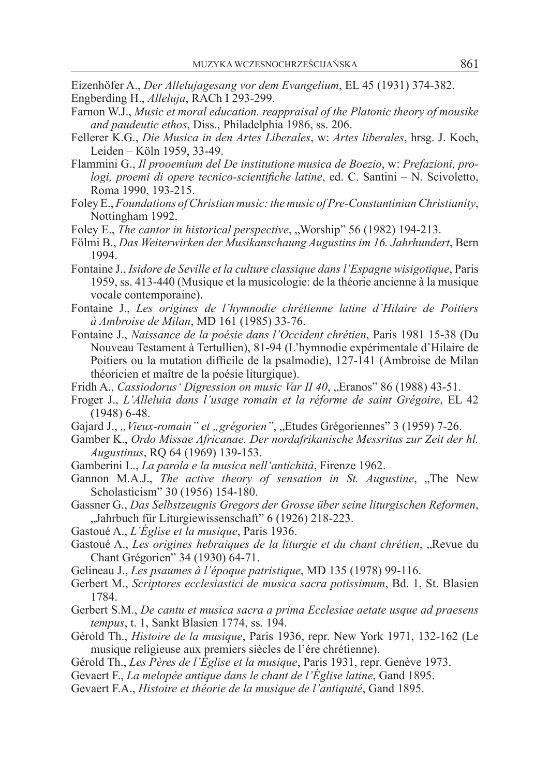Eizenhöfer A., *Der Allelujagesang vor dem Evangelium*, EL 45 (1931) 374-382. Engberding H., *Alleluja*, RACh I 293-299.

- Farnon W.J., *Music et moral education. reappraisal of the Platonic theory of mousike and paudeutic ethos*, Diss., Philadelphia 1986, ss. 206.
- Fellerer K.G., *Die Musica in den Artes Liberales*, w: *Artes liberales*, hrsg. J. Koch, Leiden – Köln 1959, 33-49.
- Flammini G., *Il prooemium del De institutione musica de Boezio*, w: *Prefazioni, prologi, proemi di opere tecnico-scientifiche latine*, ed. C. Santini – N. Scivoletto, Roma 1990, 193-215.
- Foley E., *Foundations of Christian music: the music of Pre-Constantinian Christianity*, Nottingham 1992.
- Foley E., *The cantor in historical perspective*, "Worship" 56 (1982) 194-213.
- Fölmi B., *Das Weiterwirken der Musikanschaung Augustins im 16. Jahrhundert*, Bern 1994.
- Fontaine J., *Isidore de Seville et la culture classique dans l'Espagne wisigotique*, Paris 1959, ss. 413-440 (Musique et la musicologie: de la théorie ancienne à la musique vocale contemporaine).
- Fontaine J., *Les origines de l'hymnodie chrétienne latine d'Hilaire de Poitiers à Ambroise de Milan*, MD 161 (1985) 33-76.
- Fontaine J., *Naissance de la poésie dans l'Occident chrétien*, Paris 1981 15-38 (Du Nouveau Testament à Tertullien), 81-94 (L'hymnodie expérimentale d'Hilaire de Poitiers ou la mutation difficile de la psalmodie), 127-141 (Ambroise de Milan théoricien et maître de la poésie liturgique).
- Fridh A., *Cassiodorus' Digression on music Var II 40*, "Eranos" 86 (1988) 43-51.
- Froger J., *L'Alleluia dans l'usage romain et la réforme de saint Grégoire*, EL 42 (1948) 6-48.
- Gajard J., "Vieux-romain" et "grégorien", "Etudes Grégoriennes" 3 (1959) 7-26.
- Gamber K., *Ordo Missae Africanae. Der nordafrikanische Messritus zur Zeit der hl. Augustinus*, RQ 64 (1969) 139-153.
- Gamberini L., *La parola e la musica nell'antichità*, Firenze 1962.
- Gannon M.A.J., *The active theory of sensation in St. Augustine*, The New Scholasticism" 30 (1956) 154-180.
- Gassner G., *Das Selbstzeugnis Gregors der Grosse über seine liturgischen Reformen*, "Jahrbuch für Liturgiewissenschaft" 6 (1926) 218-223.
- Gastoué A., *L'Église et la musique*, Paris 1936.
- Gastoué A., *Les origines hebraiques de la liturgie et du chant chrétien*, "Revue du Chant Grégorien" 34 (1930) 64-71.
- Gelineau J., *Les psaumes à l'époque patristique*, MD 135 (1978) 99-116.
- Gerbert M., *Scriptores ecclesiastici de musica sacra potissimum*, Bd. 1, St. Blasien 1784.
- Gerbert S.M., *De cantu et musica sacra a prima Ecclesiae aetate usque ad praesens tempus*, t. 1, Sankt Blasien 1774, ss. 194.
- Gérold Th., *Histoire de la musique*, Paris 1936, repr. New York 1971, 132-162 (Le musique religieuse aux premiers siècles de l'ére chrétienne).
- Gérold Th., *Les Pères de l'Église et la musique*, Paris 1931, repr. Genève 1973.
- Gevaert F., *La melopée antique dans le chant de l'Église latine*, Gand 1895.
- Gevaert F.A., *Histoire et théorie de la musique de l'antiquité*, Gand 1895.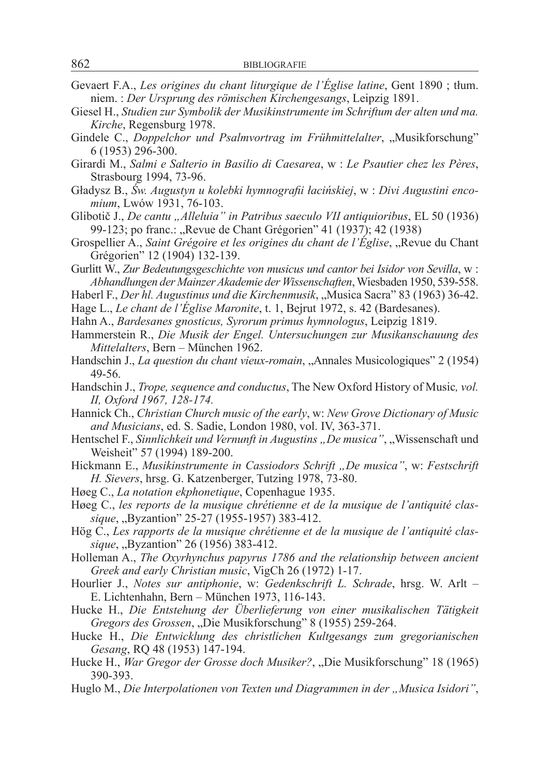- Gevaert F.A., *Les origines du chant liturgique de l'Église latine*, Gent 1890 ; tłum. niem. : *Der Ursprung des römischen Kirchengesangs*, Leipzig 1891.
- Giesel H., *Studien zur Symbolik der Musikinstrumente im Schriftum der alten und ma. Kirche*, Regensburg 1978.
- Gindele C., *Doppelchor und Psalmvortrag im Frühmittelalter*, "Musikforschung" 6 (1953) 296-300.
- Girardi M., *Salmi e Salterio in Basilio di Caesarea*, w : *Le Psautier chez les Pères*, Strasbourg 1994, 73-96.
- Gładysz B., *Św. Augustyn u kolebki hymnografii łacińskiej*, w : *Divi Augustini encomium*, Lwów 1931, 76-103.
- Glibotič J., *De cantu "Alleluia" in Patribus saeculo VII antiquioribus*, EL 50 (1936) 99-123; po franc.: "Revue de Chant Grégorien" 41 (1937); 42 (1938)
- Grospellier A., *Saint Grégoire et les origines du chant de l'Église*, "Revue du Chant Grégorien" 12 (1904) 132-139.
- Gurlitt W., *Zur Bedeutungsgeschichte von musicus und cantor bei Isidor von Sevilla*, w : *Abhandlungen der Mainzer Akademie der Wissenschaften*, Wiesbaden 1950, 539-558.
- Haberl F., *Der hl. Augustinus und die Kirchenmusik*, "Musica Sacra" 83 (1963) 36-42.
- Hage L., *Le chant de l'Église Maronite*, t. 1, Bejrut 1972, s. 42 (Bardesanes).
- Hahn A., *Bardesanes gnosticus, Syrorum primus hymnologus*, Leipzig 1819.
- Hammerstein R., *Die Musik der Engel. Untersuchungen zur Musikanschauung des Mittelalters*, Bern – München 1962.
- Handschin J., *La question du chant vieux-romain*, "Annales Musicologiques" 2 (1954) 49-56.
- Handschin J., *Trope, sequence and conductus*, The New Oxford History of Music*, vol. II, Oxford 1967, 128-174.*
- Hannick Ch., *Christian Church music of the early*, w: *New Grove Dictionary of Music and Musicians*, ed. S. Sadie, London 1980, vol. IV, 363-371.
- Hentschel F., *Sinnlichkeit und Vernunft in Augustins "De musica"*, "Wissenschaft und Weisheit" 57 (1994) 189-200.
- Hickmann E., *Musikinstrumente in Cassiodors Schrift "De musica"*, w: *Festschrift H. Sievers*, hrsg. G. Katzenberger, Tutzing 1978, 73-80.
- Høeg C., *La notation ekphonetique*, Copenhague 1935.
- Høeg C., *les reports de la musique chrétienne et de la musique de l'antiquité classique*, *"Byzantion"* 25-27 (1955-1957) 383-412.
- Hög C., *Les rapports de la musique chrétienne et de la musique de l'antiquité classique*, "Byzantion" 26 (1956) 383-412.
- Holleman A., *The Oxyrhynchus papyrus 1786 and the relationship between ancient Greek and early Christian music*, VigCh 26 (1972) 1-17.
- Hourlier J., *Notes sur antiphonie*, w: *Gedenkschrift L. Schrade*, hrsg. W. Arlt E. Lichtenhahn, Bern – München 1973, 116-143.
- Hucke H., *Die Entstehung der Überlieferung von einer musikalischen Tätigkeit Gregors des Grossen*, "Die Musikforschung" 8 (1955) 259-264.
- Hucke H., *Die Entwicklung des christlichen Kultgesangs zum gregorianischen Gesang*, RQ 48 (1953) 147-194.
- Hucke H., *War Gregor der Grosse doch Musiker?*, "Die Musikforschung" 18 (1965) 390-393.
- Huglo M., *Die Interpolationen von Texten und Diagrammen in der "Musica Isidori"*,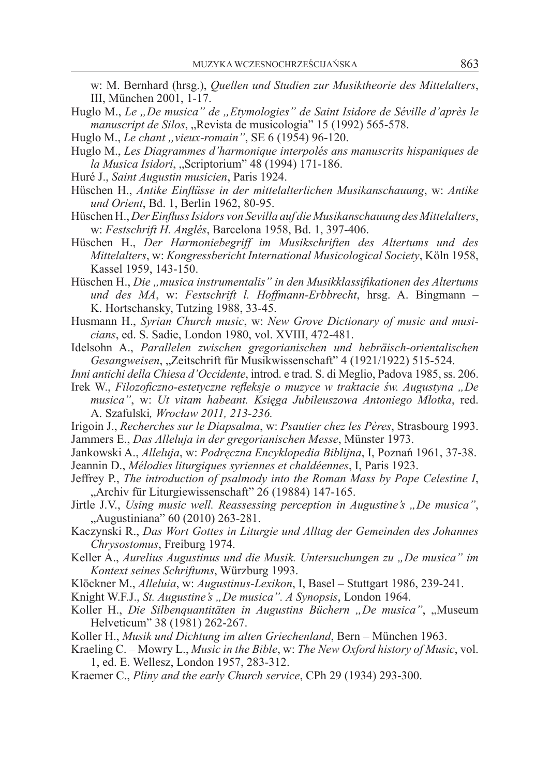w: M. Bernhard (hrsg.), *Quellen und Studien zur Musiktheorie des Mittelalters*, III, München 2001, 1-17.

- Huglo M., *Le "De musica" de "Etymologies" de Saint Isidore de Séville d'après le manuscript de Silos*, "Revista de musicologia" 15 (1992) 565-578.
- Huglo M., *Le chant "vieux-romain"*, SE 6 (1954) 96-120.
- Huglo M., *Les Diagrammes d'harmonique interpolés ans manuscrits hispaniques de la Musica Isidori*, "Scriptorium" 48 (1994) 171-186.
- Huré J., *Saint Augustin musicien*, Paris 1924.
- Hüschen H., *Antike Einflüsse in der mittelalterlichen Musikanschauung*, w: *Antike und Orient*, Bd. 1, Berlin 1962, 80-95.
- Hüschen H., *Der Einfluss Isidors von Sevilla auf die Musikanschauung des Mittelalters*, w: *Festschrift H. Anglés*, Barcelona 1958, Bd. 1, 397-406.
- Hüschen H., *Der Harmoniebegriff im Musikschriften des Altertums und des Mittelalters*, w: *Kongressbericht International Musicological Society*, Köln 1958, Kassel 1959, 143-150.
- Hüschen H., *Die "musica instrumentalis" in den Musikklassifikationen des Altertums und des MA*, w: *Festschrift l. Hoffmann-Erbbrecht*, hrsg. A. Bingmann – K. Hortschansky, Tutzing 1988, 33-45.
- Husmann H., *Syrian Church music*, w: *New Grove Dictionary of music and musicians*, ed. S. Sadie, London 1980, vol. XVIII, 472-481.
- Idelsohn A., *Parallelen zwischen gregorianischen und hebräisch-orientalischen Gesangweisen*, "Zeitschrift für Musikwissenschaft" 4 (1921/1922) 515-524.
- *Inni antichi della Chiesa d'Occidente*, introd. e trad. S. di Meglio, Padova 1985, ss. 206.
- Irek W., *Filozoficzno-estetyczne refleksje o muzyce w traktacie św. Augustyna "De musica"*, w: *Ut vitam habeant. Księga Jubileuszowa Antoniego Młotka*, red. A. Szafulski*, Wrocław 2011, 213-236.*
- Irigoin J., *Recherches sur le Diapsalma*, w: *Psautier chez les Pères*, Strasbourg 1993. Jammers E., *Das Alleluja in der gregorianischen Messe*, Münster 1973.
- Jankowski A., *Alleluja*, w: *Podręczna Encyklopedia Biblijna*, I, Poznań 1961, 37-38.
- Jeannin D., *Mélodies liturgiques syriennes et chaldéennes*, I, Paris 1923.
- Jeffrey P., *The introduction of psalmody into the Roman Mass by Pope Celestine I*, "Archiv für Liturgiewissenschaft" 26 (19884) 147-165.
- Jirtle J.V., *Using music well. Reassessing perception in Augustine's "De musica"*, "Augustiniana" 60 (2010) 263-281.
- Kaczynski R., *Das Wort Gottes in Liturgie und Alltag der Gemeinden des Johannes Chrysostomus*, Freiburg 1974.
- Keller A., Aurelius Augustinus und die Musik. Untersuchungen zu "De musica" im *Kontext seines Schriftums*, Würzburg 1993.
- Klöckner M., *Alleluia*, w: *Augustinus-Lexikon*, I, Basel Stuttgart 1986, 239-241.
- Knight W.F.J., *St. Augustine's "De musica". A Synopsis*, London 1964.
- Koller H., *Die Silbenquantitäten in Augustins Büchern* "De musica", "Museum Helveticum" 38 (1981) 262-267.
- Koller H., *Musik und Dichtung im alten Griechenland*, Bern München 1963.
- Kraeling C. Mowry L., *Music in the Bible*, w: *The New Oxford history of Music*, vol. 1, ed. E. Wellesz, London 1957, 283-312.
- Kraemer C., *Pliny and the early Church service*, CPh 29 (1934) 293-300.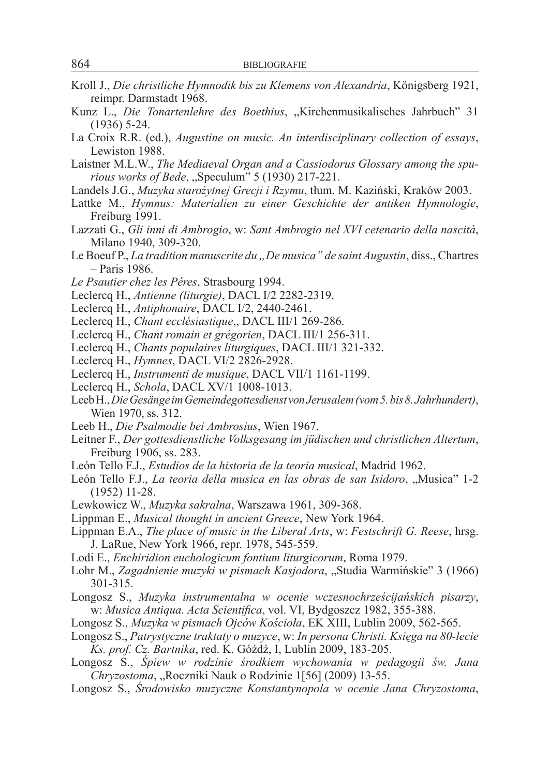- Kroll J., *Die christliche Hymnodik bis zu Klemens von Alexandria*, Königsberg 1921, reimpr. Darmstadt 1968.
- Kunz L., *Die Tonartenlehre des Boethius*, "Kirchenmusikalisches Jahrbuch" 31 (1936) 5-24.
- La Croix R.R. (ed.), *Augustine on music. An interdisciplinary collection of essays*, Lewiston 1988.
- Laistner M.L.W., *The Mediaeval Organ and a Cassiodorus Glossary among the spurious works of Bede*, "Speculum" 5 (1930) 217-221.
- Landels J.G., *Muzyka starożytnej Grecji i Rzymu*, tłum. M. Kaziński, Kraków 2003.
- Lattke M., *Hymnus: Materialien zu einer Geschichte der antiken Hymnologie*, Freiburg 1991.
- Lazzati G., *Gli inni di Ambrogio*, w: *Sant Ambrogio nel XVI cetenario della nascità*, Milano 1940, 309-320.
- Le Boeuf P., *La tradition manuscrite du "De musica" de saint Augustin*, diss., Chartres – Paris 1986.
- *Le Psautier chez les Péres*, Strasbourg 1994.
- Leclercq H., *Antienne (liturgie)*, DACL I/2 2282-2319.
- Leclercq H., *Antiphonaire*, DACL I/2, 2440-2461.
- Leclercq H., *Chant ecclésiastique*,, DACL III/1 269-286.
- Leclercq H., *Chant romain et grégorien*, DACL III/1 256-311.
- Leclercq H., *Chants populaires liturgiques*, DACL III/1 321-332.
- Leclercq H., *Hymnes*, DACL VI/2 2826-2928.
- Leclercq H., *Instrumenti de musique*, DACL VII/1 1161-1199.
- Leclercq H., *Schola*, DACL XV/1 1008-1013.
- Leeb H., *Die Gesänge im Gemeindegottesdienst von Jerusalem (vom 5. bis 8.Jahrhundert)*, Wien 1970, ss. 312.
- Leeb H., *Die Psalmodie bei Ambrosius*, Wien 1967.
- Leitner F., *Der gottesdienstliche Volksgesang im jüdischen und christlichen Altertum*, Freiburg 1906, ss. 283.
- León Tello F.J., *Estudios de la historia de la teoria musical*, Madrid 1962.
- León Tello F.J., *La teoria della musica en las obras de san Isidoro*, "Musica" 1-2 (1952) 11-28.
- Lewkowicz W., *Muzyka sakralna*, Warszawa 1961, 309-368.
- Lippman E., *Musical thought in ancient Greece*, New York 1964.
- Lippman E.A., *The place of music in the Liberal Arts*, w: *Festschrift G. Reese*, hrsg. J. LaRue, New York 1966, repr. 1978, 545-559.
- Lodi E., *Enchiridion euchologicum fontium liturgicorum*, Roma 1979.
- Lohr M., *Zagadnienie muzyki w pismach Kasjodora*, "Studia Warmińskie" 3 (1966) 301-315.
- Longosz S., *Muzyka instrumentalna w ocenie wczesnochrześcijańskich pisarzy*, w: *Musica Antiqua. Acta Scientifica*, vol. VI, Bydgoszcz 1982, 355-388.
- Longosz S., *Muzyka w pismach Ojców Kościoła*, EK XIII, Lublin 2009, 562-565.
- Longosz S., *Patrystyczne traktaty o muzyce*, w: *In persona Christi. Księga na 80-lecie Ks. prof. Cz. Bartnika*, red. K. Góźdź, I, Lublin 2009, 183-205.
- Longosz S., *Śpiew w rodzinie środkiem wychowania w pedagogii św. Jana Chryzostoma*, "Roczniki Nauk o Rodzinie 1[56] (2009) 13-55.
- Longosz S., *Środowisko muzyczne Konstantynopola w ocenie Jana Chryzostoma*,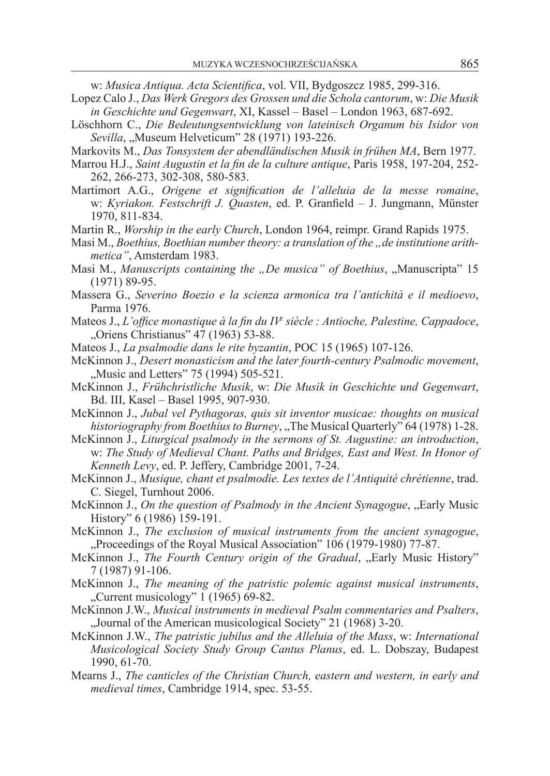w: *Musica Antiqua. Acta Scientifica*, vol. VII, Bydgoszcz 1985, 299-316.

- Lopez Calo J., *Das Werk Gregors des Grossen und die Schola cantorum*, w: *Die Musik in Geschichte und Gegenwart*, XI, Kassel – Basel – London 1963, 687-692.
- Löschhorn C., *Die Bedeutungsentwicklung von lateinisch Organum bis Isidor von Sevilla*, "Museum Helveticum" 28 (1971) 193-226.

Markovits M., *Das Tonsystem der abendländischen Musik in frühen MA*, Bern 1977.

- Marrou H.J., *Saint Augustin et la fin de la culture antique*, Paris 1958, 197-204, 252- 262, 266-273, 302-308, 580-583.
- Martimort A.G., *Origene et signification de l'alleluia de la messe romaine*, w: *Kyriakon. Festschrift J. Quasten*, ed. P. Granfield – J. Jungmann, Münster 1970, 811-834.
- Martin R., *Worship in the early Church*, London 1964, reimpr. Grand Rapids 1975.
- Masi M., *Boethius, Boethian number theory: a translation of the ..de institutione arithmetica"*, Amsterdam 1983.
- Masi M., *Manuscripts containing the "De musica" of Boethius*, "Manuscripta" 15 (1971) 89-95.
- Massera G., *Severino Boezio e la scienza armonica tra l'antichità e il medioevo*, Parma 1976.
- Mateos J., *L'office monastique à la fin du IV<sup>e</sup> siècle : Antioche, Palestine, Cappadoce*, "Oriens Christianus" 47 (1963) 53-88.
- Mateos J., *La psalmodie dans le rite byzantin*, POC 15 (1965) 107-126.
- McKinnon J., *Desert monasticism and the later fourth-century Psalmodic movement*, "Music and Letters" 75 (1994) 505-521.
- McKinnon J., *Frühchristliche Musik*, w: *Die Musik in Geschichte und Gegenwart*, Bd. III, Kasel – Basel 1995, 907-930.
- McKinnon J., *Jubal vel Pythagoras, quis sit inventor musicae: thoughts on musical historiography from Boethius to Burney*, The Musical Quarterly" 64 (1978) 1-28.
- McKinnon J., *Liturgical psalmody in the sermons of St. Augustine: an introduction*, w: *The Study of Medieval Chant. Paths and Bridges, East and West. In Honor of Kenneth Levy*, ed. P. Jeffery, Cambridge 2001, 7-24.
- McKinnon J., *Musique, chant et psalmodie. Les textes de l'Antiquité chrétienne*, trad. C. Siegel, Turnhout 2006.
- McKinnon J., *On the question of Psalmody in the Ancient Synagogue*, "Early Music History" 6 (1986) 159-191.
- McKinnon J., *The exclusion of musical instruments from the ancient synagogue*, "Proceedings of the Royal Musical Association" 106 (1979-1980) 77-87.
- McKinnon J., *The Fourth Century origin of the Gradual*, "Early Music History" 7 (1987) 91-106.
- McKinnon J., *The meaning of the patristic polemic against musical instruments*,  $\ldots$ Current musicology" 1 (1965) 69-82.
- McKinnon J.W., *Musical instruments in medieval Psalm commentaries and Psalters*, "Journal of the American musicological Society" 21 (1968) 3-20.
- McKinnon J.W., *The patristic jubilus and the Alleluia of the Mass*, w: *International Musicological Society Study Group Cantus Planus*, ed. L. Dobszay, Budapest 1990, 61-70.
- Mearns J., *The canticles of the Christian Church, eastern and western, in early and medieval times*, Cambridge 1914, spec. 53-55.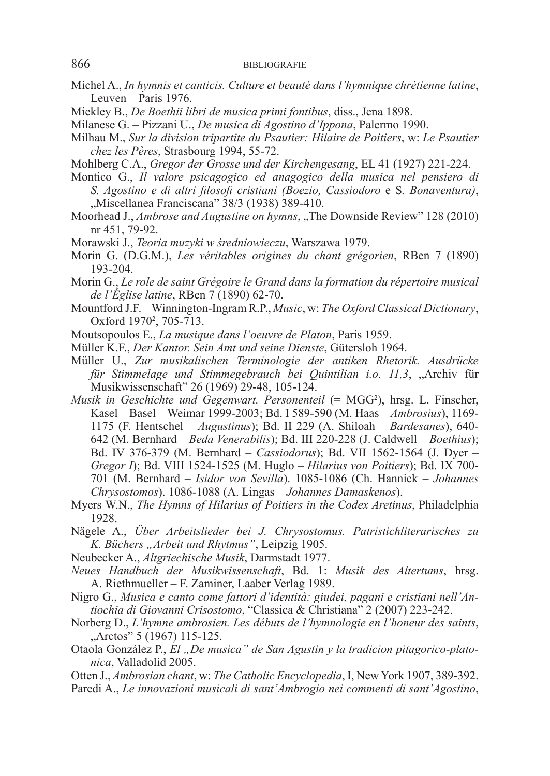- Michel A., *In hymnis et canticis. Culture et beauté dans l'hymnique chrétienne latine*, Leuven – Paris 1976.
- Miekley B., *De Boethii libri de musica primi fontibus*, diss., Jena 1898.
- Milanese G. Pizzani U., *De musica di Agostino d'Ippona*, Palermo 1990.
- Milhau M., *Sur la division tripartite du Psautier: Hilaire de Poitiers*, w: *Le Psautier chez les Pères*, Strasbourg 1994, 55-72.
- Mohlberg C.A., *Gregor der Grosse und der Kirchengesang*, EL 41 (1927) 221-224.
- Montico G., *Il valore psicagogico ed anagogico della musica nel pensiero di S. Agostino e di altri filosofi cristiani (Boezio, Cassiodoro* e S*. Bonaventura)*, ..Miscellanea Franciscana" 38/3 (1938) 389-410.
- Moorhead J., *Ambrose and Augustine on hymns*, "The Downside Review" 128 (2010) nr 451, 79-92.
- Morawski J., *Teoria muzyki w średniowieczu*, Warszawa 1979.
- Morin G. (D.G.M.), *Les véritables origines du chant grégorien*, RBen 7 (1890) 193-204.
- Morin G., *Le role de saint Grégoire le Grand dans la formation du répertoire musical de l'Église latine*, RBen 7 (1890) 62-70.
- Mountford J.F. Winnington-Ingram R.P., *Music*, w: *The Oxford Classical Dictionary*, Oxford 1970<sup>2</sup>, 705-713.
- Moutsopoulos E., *La musique dans l'oeuvre de Platon*, Paris 1959.
- Müller K.F., *Der Kantor. Sein Amt und seine Dienste*, Gütersloh 1964.
- Müller U., *Zur musikalischen Terminologie der antiken Rhetorik. Ausdrücke für Stimmelage und Stimmegebrauch bei Quintilian i.o. 11,3*, "Archiv für Musikwissenschaft" 26 (1969) 29-48, 105-124.
- Musik in Geschichte und Gegenwart. Personenteil (= MGG<sup>2</sup>), hrsg. L. Finscher, Kasel – Basel – Weimar 1999-2003; Bd. I 589-590 (M. Haas – *Ambrosius*), 1169- 1175 (F. Hentschel – *Augustinus*); Bd. II 229 (A. Shiloah – *Bardesanes*), 640- 642 (M. Bernhard – *Beda Venerabilis*); Bd. III 220-228 (J. Caldwell – *Boethius*); Bd. IV 376-379 (M. Bernhard – *Cassiodorus*); Bd. VII 1562-1564 (J. Dyer – *Gregor I*); Bd. VIII 1524-1525 (M. Huglo – *Hilarius von Poitiers*); Bd. IX 700- 701 (M. Bernhard – *Isidor von Sevilla*). 1085-1086 (Ch. Hannick – *Johannes Chrysostomos*). 1086-1088 (A. Lingas – *Johannes Damaskenos*).
- Myers W.N., *The Hymns of Hilarius of Poitiers in the Codex Aretinus*, Philadelphia 1928.
- Nägele A., *Über Arbeitslieder bei J. Chrysostomus. Patristichliterarisches zu K. Büchers "Arbeit und Rhytmus"*, Leipzig 1905.
- Neubecker A., *Altgriechische Musik*, Darmstadt 1977.
- *Neues Handbuch der Musikwissenschaft*, Bd. 1: *Musik des Altertums*, hrsg. A. Riethmueller – F. Zaminer, Laaber Verlag 1989.
- Nigro G., *Musica e canto come fattori d'identità: giudei, pagani e cristiani nell'Antiochia di Giovanni Crisostomo*, "Classica & Christiana" 2 (2007) 223-242.
- Norberg D., *L'hymne ambrosien. Les débuts de l'hymnologie en l'honeur des saints*, "Arctos" 5 (1967) 115-125.
- Otaola González P., *El "De musica" de San Agustin y la tradicion pitagorico-platonica*, Valladolid 2005.
- Otten J., *Ambrosian chant*, w: *The Catholic Encyclopedia*, I, New York 1907, 389-392.
- Paredi A., *Le innovazioni musicali di sant'Ambrogio nei commenti di sant'Agostino*,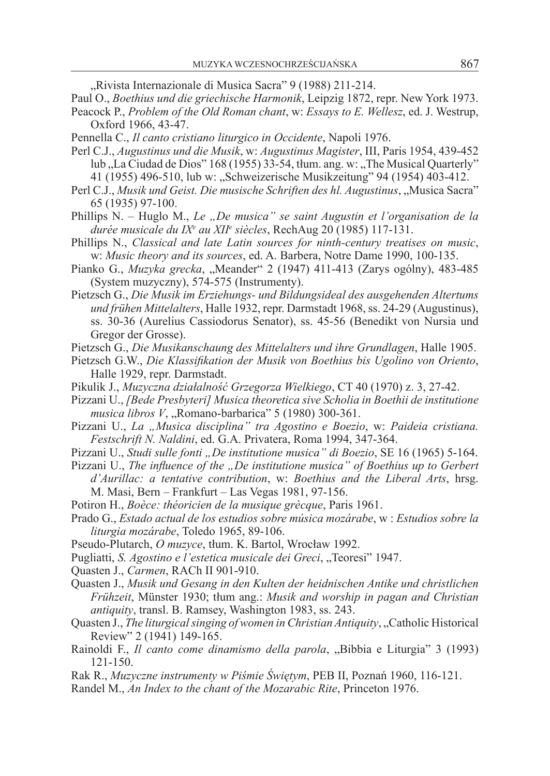"Rivista Internazionale di Musica Sacra" 9 (1988) 211-214.

Paul O., *Boethius und die griechische Harmonik*, Leipzig 1872, repr. New York 1973. Peacock P., *Problem of the Old Roman chant*, w: *Essays to E. Wellesz*, ed. J. Westrup, Oxford 1966, 43-47.

- Pennella C., *Il canto cristiano liturgico in Occidente*, Napoli 1976.
- Perl C.J., *Augustinus und die Musik*, w: *Augustinus Magister*, III, Paris 1954, 439-452 lub "La Ciudad de Dios" 168 (1955) 33-54, tłum. ang. w: "The Musical Quarterly" 41 (1955) 496-510, lub w: "Schweizerische Musikzeitung" 94 (1954) 403-412.
- Perl C.J., *Musik und Geist. Die musische Schriften des hl. Augustinus*, "Musica Sacra" 65 (1935) 97-100.
- Phillips N. Huglo M., *Le "De musica" se saint Augustin et l'organisation de la durée musicale du IXe au XIIe siècles*, RechAug 20 (1985) 117-131.
- Phillips N., *Classical and late Latin sources for ninth-century treatises on music*, w: *Music theory and its sources*, ed. A. Barbera, Notre Dame 1990, 100-135.
- Pianko G., *Muzyka grecka*, "Meander" 2 (1947) 411-413 (Zarys ogólny), 483-485 (System muzyczny), 574-575 (Instrumenty).
- Pietzsch G., *Die Musik im Erziehungs- und Bildungsideal des ausgehenden Altertums und frühen Mittelalters*, Halle 1932, repr. Darmstadt 1968, ss. 24-29 (Augustinus), ss. 30-36 (Aurelius Cassiodorus Senator), ss. 45-56 (Benedikt von Nursia und Gregor der Grosse).
- Pietzsch G., *Die Musikanschaung des Mittelalters und ihre Grundlagen*, Halle 1905.
- Pietzsch G.W., *Die Klassifikation der Musik von Boethius bis Ugolino von Oriento*, Halle 1929, repr. Darmstadt.
- Pikulik J., *Muzyczna działalność Grzegorza Wielkiego*, CT 40 (1970) z. 3, 27-42.
- Pizzani U., *[Bede Presbyteri] Musica theoretica sive Scholia in Boethii de institutione musica libros V*, "Romano-barbarica" 5 (1980) 300-361.
- Pizzani U., *La "Musica disciplina" tra Agostino e Boezio*, w: *Paideia cristiana. Festschrift N. Naldini*, ed. G.A. Privatera, Roma 1994, 347-364.
- Pizzani U., *Studi sulle fonti "De institutione musica" di Boezio*, SE 16 (1965) 5-164.
- Pizzani U., *The influence of the "De institutione musica" of Boethius up to Gerbert d'Aurillac: a tentative contribution*, w: *Boethius and the Liberal Arts*, hrsg. M. Masi, Bern – Frankfurt – Las Vegas 1981, 97-156.
- Potiron H., *Boèce: théoricien de la musique grècque*, Paris 1961.
- Prado G., *Estado actual de los estudios sobre música mozárabe*, w : *Estudios sobre la liturgia mozárabe*, Toledo 1965, 89-106.
- Pseudo-Plutarch, *O muzyce*, tłum. K. Bartol, Wrocław 1992.
- Pugliatti, *S. Agostino e l'estetica musicale dei Greci*, "Teoresi" 1947.
- Quasten J., *Carmen*, RACh II 901-910.
- Quasten J., *Musik und Gesang in den Kulten der heidnischen Antike und christlichen Frühzeit*, Münster 1930; tłum ang.: *Musik and worship in pagan and Christian antiquity*, transl. B. Ramsey, Washington 1983, ss. 243.
- Quasten J., *The liturgical singing of women in Christian Antiquity*, "Catholic Historical Review" 2 (1941) 149-165.
- Rainoldi F., *Il canto come dinamismo della parola*, "Bibbia e Liturgia" 3 (1993) 121-150.
- Rak R., *Muzyczne instrumenty w Piśmie Świętym*, PEB II, Poznań 1960, 116-121.
- Randel M., *An Index to the chant of the Mozarabic Rite*, Princeton 1976.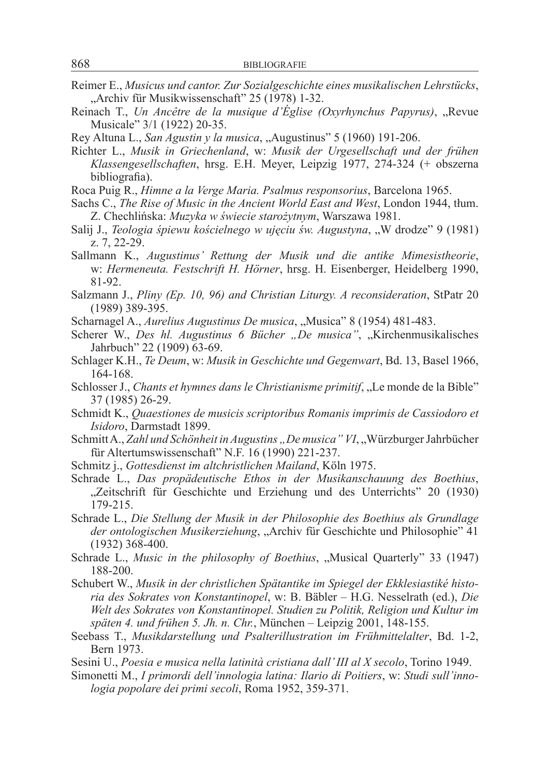- Reimer E., *Musicus und cantor. Zur Sozialgeschichte eines musikalischen Lehrstücks*, "Archiv für Musikwissenschaft" 25 (1978) 1-32.
- Reinach T., *Un Ancêtre de la musique d'Église (Oxyrhynchus Papyrus)*, "Revue Musicale" 3/1 (1922) 20-35.
- Rey Altuna L., *San Agustin y la musica*, "Augustinus" 5 (1960) 191-206.
- Richter L., *Musik in Griechenland*, w: *Musik der Urgesellschaft und der frühen Klassengesellschaften*, hrsg. E.H. Meyer, Leipzig 1977, 274-324 (+ obszerna bibliografia).
- Roca Puig R., *Himne a la Verge Maria. Psalmus responsorius*, Barcelona 1965.
- Sachs C., *The Rise of Music in the Ancient World East and West*, London 1944, tłum. Z. Chechlińska: *Muzyka w świecie starożytnym*, Warszawa 1981.
- Salij J., *Teologia śpiewu kościelnego w ujęciu św. Augustyna*, "W drodze" 9 (1981) z. 7, 22-29.
- Sallmann K., *Augustinus' Rettung der Musik und die antike Mimesistheorie*, w: *Hermeneuta. Festschrift H. Hörner*, hrsg. H. Eisenberger, Heidelberg 1990, 81-92.
- Salzmann J., *Pliny (Ep. 10, 96) and Christian Liturgy. A reconsideration*, StPatr 20 (1989) 389-395.
- Scharnagel A., *Aurelius Augustinus De musica*, "Musica" 8 (1954) 481-483.
- Scherer W., *Des hl. Augustinus 6 Bücher "De musica"*, "Kirchenmusikalisches Jahrbuch" 22 (1909) 63-69.
- Schlager K.H., *Te Deum*, w: *Musik in Geschichte und Gegenwart*, Bd. 13, Basel 1966, 164-168.
- Schlosser J., *Chants et hymnes dans le Christianisme primitif*, "Le monde de la Bible" 37 (1985) 26-29.
- Schmidt K., *Quaestiones de musicis scriptoribus Romanis imprimis de Cassiodoro et Isidoro*, Darmstadt 1899.
- Schmitt A., Zahl und Schönheit in Augustins "De musica" VI, "Würzburger Jahrbücher für Altertumswissenschaft" N.F. 16 (1990) 221-237.
- Schmitz j., *Gottesdienst im altchristlichen Mailand*, Köln 1975.
- Schrade L., *Das propädeutische Ethos in der Musikanschauung des Boethius*, "Zeitschrift für Geschichte und Erziehung und des Unterrichts" 20 (1930) 179-215.
- Schrade L., *Die Stellung der Musik in der Philosophie des Boethius als Grundlage*  der ontologischen Musikerziehung, "Archiv für Geschichte und Philosophie" 41 (1932) 368-400.
- Schrade L., *Music in the philosophy of Boethius*, "Musical Quarterly" 33 (1947) 188-200.
- Schubert W., *Musik in der christlichen Spätantike im Spiegel der Ekklesiastiké historia des Sokrates von Konstantinopel*, w: B. Bäbler – H.G. Nesselrath (ed.), *Die Welt des Sokrates von Konstantinopel. Studien zu Politik, Religion und Kultur im späten 4. und frühen 5. Jh. n. Chr.*, München – Leipzig 2001, 148-155.
- Seebass T., *Musikdarstellung und Psalterillustration im Frühmittelalter*, Bd. 1-2, Bern 1973.
- Sesini U., *Poesia e musica nella latinità cristiana dall' III al X secolo*, Torino 1949.
- Simonetti M., *I primordi dell'innologia latina: Ilario di Poitiers*, w: *Studi sull'innologia popolare dei primi secoli*, Roma 1952, 359-371.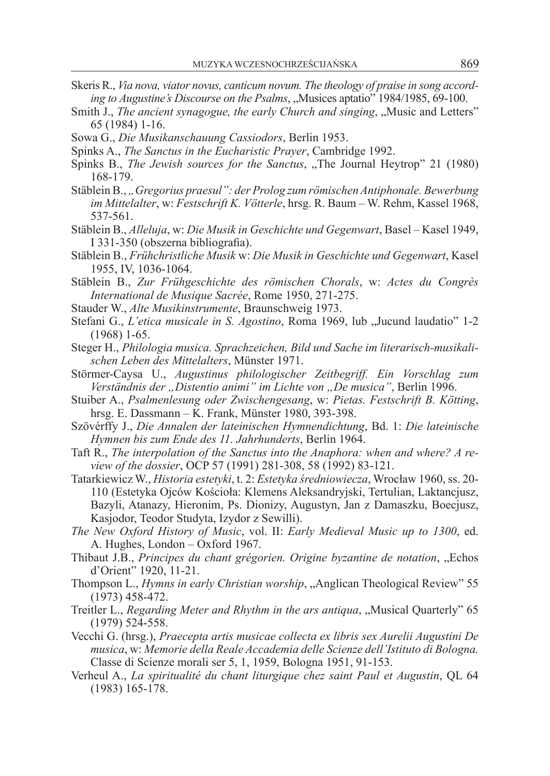- Skeris R., *Via nova, viator novus, canticum novum. The theology of praise in song according to Augustine's Discourse on the Psalms*, "Musices aptatio" 1984/1985, 69-100.
- Smith J., *The ancient synagogue, the early Church and singing*, "Music and Letters" 65 (1984) 1-16.
- Sowa G., *Die Musikanschauung Cassiodors*, Berlin 1953.
- Spinks A., *The Sanctus in the Eucharistic Prayer*, Cambridge 1992.
- Spinks B., *The Jewish sources for the Sanctus*, "The Journal Heytrop" 21 (1980) 168-179.
- Stäblein B., *"Gregorius praesul": der Prolog zum römischen Antiphonale. Bewerbung im Mittelalter*, w: *Festschrift K. Vötterle*, hrsg. R. Baum – W. Rehm, Kassel 1968, 537-561.
- Stäblein B., *Alleluja*, w: *Die Musik in Geschichte und Gegenwart*, Basel Kasel 1949, I 331-350 (obszerna bibliografia).
- Stäblein B., *Frühchristliche Musik* w: *Die Musik in Geschichte und Gegenwart*, Kasel 1955, IV, 1036-1064.
- Stäblein B., *Zur Frühgeschichte des römischen Chorals*, w: *Actes du Congrès International de Musique Sacrée*, Rome 1950, 271-275.
- Stauder W., *Alte Musikinstrumente*, Braunschweig 1973.
- Stefani G., *L'etica musicale in S. Agostino*, Roma 1969, lub "Jucund laudatio" 1-2 (1968) 1-65.
- Steger H., *Philologia musica. Sprachzeichen, Bild und Sache im literarisch-musikalischen Leben des Mittelalters*, Münster 1971.
- Störmer-Caysa U., *Augustinus philologischer Zeitbegriff. Ein Vorschlag zum*  Verständnis der "Distentio animi" im Lichte von "De musica", Berlin 1996.
- Stuiber A., *Psalmenlesung oder Zwischengesang*, w: *Pietas. Festschrift B. Kötting*, hrsg. E. Dassmann – K. Frank, Münster 1980, 393-398.
- Szövérffy J., *Die Annalen der lateinischen Hymnendichtung*, Bd. 1: *Die lateinische Hymnen bis zum Ende des 11. Jahrhunderts*, Berlin 1964.
- Taft R., *The interpolation of the Sanctus into the Anaphora: when and where? A review of the dossier*, OCP 57 (1991) 281-308, 58 (1992) 83-121.
- Tatarkiewicz W., *Historia estetyki*, t. 2: *Estetyka średniowiecza*, Wrocław 1960, ss. 20- 110 (Estetyka Ojców Kościoła: Klemens Aleksandryjski, Tertulian, Laktancjusz, Bazyli, Atanazy, Hieronim, Ps. Dionizy, Augustyn, Jan z Damaszku, Boecjusz, Kasjodor, Teodor Studyta, Izydor z Sewilli).
- *The New Oxford History of Music*, vol. II: *Early Medieval Music up to 1300*, ed. A. Hughes, London – Oxford 1967.
- Thibaut J.B., *Principes du chant grégorien. Origine byzantine de notation*, "Echos d'Orient" 1920, 11-21.
- Thompson L., *Hymns in early Christian worship*, "Anglican Theological Review" 55 (1973) 458-472.
- Treitler L., *Regarding Meter and Rhythm in the ars antiqua*, "Musical Quarterly" 65 (1979) 524-558.
- Vecchi G. (hrsg.), *Praecepta artis musicae collecta ex libris sex Aurelii Augustini De musica*, w: *Memorie della Reale Accademia delle Scienze dell'Istituto di Bologna.*  Classe di Scienze morali ser 5, 1, 1959, Bologna 1951, 91-153.
- Verheul A., *La spiritualité du chant liturgique chez saint Paul et Augustin*, QL 64 (1983) 165-178.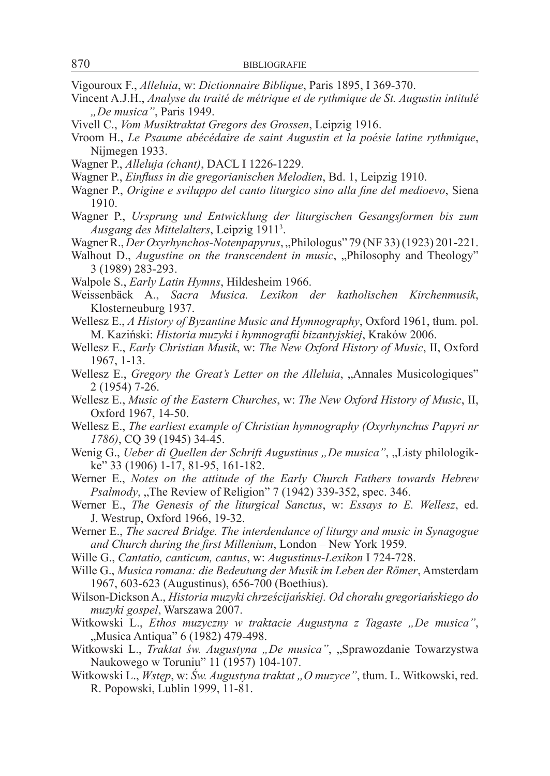- Vigouroux F., *Alleluia*, w: *Dictionnaire Biblique*, Paris 1895, I 369-370.
- Vincent A.J.H., *Analyse du traité de métrique et de rythmique de St. Augustin intitulé "De musica"*, Paris 1949.
- Vivell C., *Vom Musiktraktat Gregors des Grossen*, Leipzig 1916.
- Vroom H., *Le Psaume abécédaire de saint Augustin et la poésie latine rythmique*, Nijmegen 1933.
- Wagner P., *Alleluja (chant)*, DACL I 1226-1229.
- Wagner P., *Einfluss in die gregorianischen Melodien*, Bd. 1, Leipzig 1910.
- Wagner P., *Origine e sviluppo del canto liturgico sino alla fine del medioevo*, Siena 1910.
- Wagner P., *Ursprung und Entwicklung der liturgischen Gesangsformen bis zum Ausgang des Mittelalters*, Leipzig 19113 .
- Wagner R., *Der Oxyrhynchos-Notenpapyrus*, "Philologus" 79 (NF 33) (1923) 201-221.
- Walhout D., *Augustine on the transcendent in music*, "Philosophy and Theology" 3 (1989) 283-293.
- Walpole S., *Early Latin Hymns*, Hildesheim 1966.
- Weissenbäck A., *Sacra Musica. Lexikon der katholischen Kirchenmusik*, Klosterneuburg 1937.
- Wellesz E., *A History of Byzantine Music and Hymnography*, Oxford 1961, tłum. pol. M. Kaziński: *Historia muzyki i hymnografii bizantyjskiej*, Kraków 2006.
- Wellesz E., *Early Christian Musik*, w: *The New Oxford History of Music*, II, Oxford 1967, 1-13.
- Wellesz E., *Gregory the Great's Letter on the Alleluia*, "Annales Musicologiques" 2 (1954) 7-26.
- Wellesz E., *Music of the Eastern Churches*, w: *The New Oxford History of Music*, II, Oxford 1967, 14-50.
- Wellesz E., *The earliest example of Christian hymnography (Oxyrhynchus Papyri nr 1786)*, CQ 39 (1945) 34-45.
- Wenig G., *Ueber di Quellen der Schrift Augustinus "De musica"*, "Listy philologikke" 33 (1906) 1-17, 81-95, 161-182.
- Werner E., *Notes on the attitude of the Early Church Fathers towards Hebrew Psalmody*, "The Review of Religion" 7 (1942) 339-352, spec. 346.
- Werner E., *The Genesis of the liturgical Sanctus*, w: *Essays to E. Wellesz*, ed. J. Westrup, Oxford 1966, 19-32.
- Werner E., *The sacred Bridge. The interdendance of liturgy and music in Synagogue and Church during the first Millenium*, London – New York 1959.
- Wille G., *Cantatio, canticum, cantus*, w: *Augustinus-Lexikon* I 724-728.
- Wille G., *Musica romana: die Bedeutung der Musik im Leben der Römer*, Amsterdam 1967, 603-623 (Augustinus), 656-700 (Boethius).
- Wilson-Dickson A., *Historia muzyki chrześcijańskiej. Od chorału gregoriańskiego do muzyki gospel*, Warszawa 2007.
- Witkowski L., *Ethos muzyczny w traktacie Augustyna z Tagaste "De musica"*, "Musica Antiqua" 6 (1982) 479-498.
- Witkowski L., *Traktat św. Augustyna "De musica"*, "Sprawozdanie Towarzystwa Naukowego w Toruniu" 11 (1957) 104-107.
- Witkowski L., *Wstęp*, w: *Św. Augustyna traktat "O muzyce"*, tłum. L. Witkowski, red. R. Popowski, Lublin 1999, 11-81.